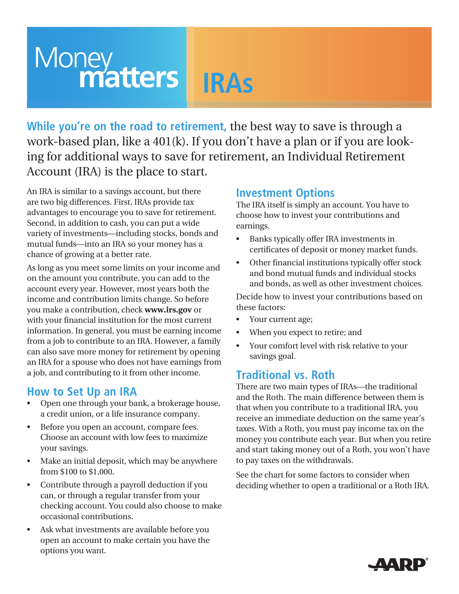# **Money**<br> **Matters IRAs**

**While you're on the road to retirement,** the best way to save is through a work-based plan, like a 401(k). If you don't have a plan or if you are looking for additional ways to save for retirement, an Individual Retirement Account (IRA) is the place to start.

An IRA is similar to a savings account, but there are two big differences. First, IRAs provide tax advantages to encourage you to save for retirement. Second, in addition to cash, you can put a wide variety of investments—including stocks, bonds and mutual funds—into an IRA so your money has a chance of growing at a better rate.

As long as you meet some limits on your income and on the amount you contribute, you can add to the account every year. However, most years both the income and contribution limits change. So before you make a contribution, check **www.irs.gov** or with your financial institution for the most current information. In general, you must be earning income from a job to contribute to an IRA. However, a family can also save more money for retirement by opening an IRA for a spouse who does not have earnings from a job, and contributing to it from other income.

#### **How to Set Up an IRA**

- Open one through your bank, a brokerage house, a credit union, or a life insurance company.
- • Before you open an account, compare fees. Choose an account with low fees to maximize your savings.
- Make an initial deposit, which may be anywhere from \$100 to \$1,000.
- Contribute through a payroll deduction if you can, or through a regular transfer from your checking account. You could also choose to make occasional contributions.
- Ask what investments are available before you open an account to make certain you have the options you want.

### **Investment Options**

The IRA itself is simply an account. You have to choose how to invest your contributions and earnings.

- • Banks typically offer IRA investments in certificates of deposit or money market funds.
- • Other financial institutions typically offer stock and bond mutual funds and individual stocks and bonds, as well as other investment choices.

Decide how to invest your contributions based on these factors:

- Your current age;
- When you expect to retire; and
- • Your comfort level with risk relative to your savings goal.

#### **Traditional vs. Roth**

There are two main types of IRAs—the traditional and the Roth. The main difference between them is that when you contribute to a traditional IRA, you receive an immediate deduction on the same year's taxes. With a Roth, you must pay income tax on the money you contribute each year. But when you retire and start taking money out of a Roth, you won't have to pay taxes on the withdrawals.

See the chart for some factors to consider when deciding whether to open a traditional or a Roth IRA.

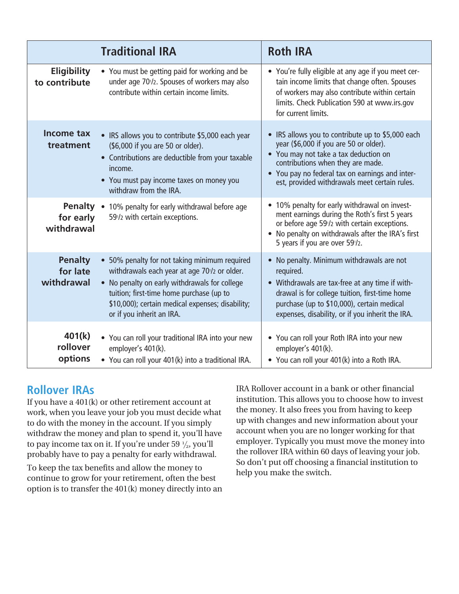|                                          | <b>Traditional IRA</b>                                                                                                                                                                                                                                                    | <b>Roth IRA</b>                                                                                                                                                                                                                                                               |
|------------------------------------------|---------------------------------------------------------------------------------------------------------------------------------------------------------------------------------------------------------------------------------------------------------------------------|-------------------------------------------------------------------------------------------------------------------------------------------------------------------------------------------------------------------------------------------------------------------------------|
| <b>Eligibility</b><br>to contribute      | • You must be getting paid for working and be<br>under age 70 <sup>1</sup> /2. Spouses of workers may also<br>contribute within certain income limits.                                                                                                                    | • You're fully eligible at any age if you meet cer-<br>tain income limits that change often. Spouses<br>of workers may also contribute within certain<br>limits. Check Publication 590 at www.irs.gov<br>for current limits.                                                  |
| Income tax<br>treatment                  | • IRS allows you to contribute \$5,000 each year<br>(\$6,000 if you are 50 or older).<br>• Contributions are deductible from your taxable<br>income.<br>• You must pay income taxes on money you<br>withdraw from the IRA.                                                | • IRS allows you to contribute up to \$5,000 each<br>year (\$6,000 if you are 50 or older).<br>• You may not take a tax deduction on<br>contributions when they are made.<br>• You pay no federal tax on earnings and inter-<br>est, provided withdrawals meet certain rules. |
| for early<br>withdrawal                  | <b>Penalty</b> • 10% penalty for early withdrawal before age<br>59 <sup>1</sup> /2 with certain exceptions.                                                                                                                                                               | • 10% penalty for early withdrawal on invest-<br>ment earnings during the Roth's first 5 years<br>or before age 59 <sup>1</sup> /2 with certain exceptions.<br>• No penalty on withdrawals after the IRA's first<br>5 years if you are over 591/2.                            |
| <b>Penalty</b><br>for late<br>withdrawal | • 50% penalty for not taking minimum required<br>withdrawals each year at age 70% or older.<br>• No penalty on early withdrawals for college<br>tuition; first-time home purchase (up to<br>\$10,000); certain medical expenses; disability;<br>or if you inherit an IRA. | • No penalty. Minimum withdrawals are not<br>required.<br>• Withdrawals are tax-free at any time if with-<br>drawal is for college tuition, first-time home<br>purchase (up to \$10,000), certain medical<br>expenses, disability, or if you inherit the IRA.                 |
| 401(k)<br>rollover<br>options            | • You can roll your traditional IRA into your new<br>employer's 401(k).<br>• You can roll your 401(k) into a traditional IRA.                                                                                                                                             | • You can roll your Roth IRA into your new<br>employer's 401(k).<br>• You can roll your 401(k) into a Roth IRA.                                                                                                                                                               |

## **Rollover IRAs**

If you have a 401(k) or other retirement account at work, when you leave your job you must decide what to do with the money in the account. If you simply withdraw the money and plan to spend it, you'll have to pay income tax on it. If you're under 59  $\frac{1}{2}$ , you'll probably have to pay a penalty for early withdrawal.

To keep the tax benefits and allow the money to continue to grow for your retirement, often the best option is to transfer the 401(k) money directly into an

IRA Rollover account in a bank or other financial institution. This allows you to choose how to invest the money. It also frees you from having to keep up with changes and new information about your account when you are no longer working for that employer. Typically you must move the money into the rollover IRA within 60 days of leaving your job. So don't put off choosing a financial institution to help you make the switch.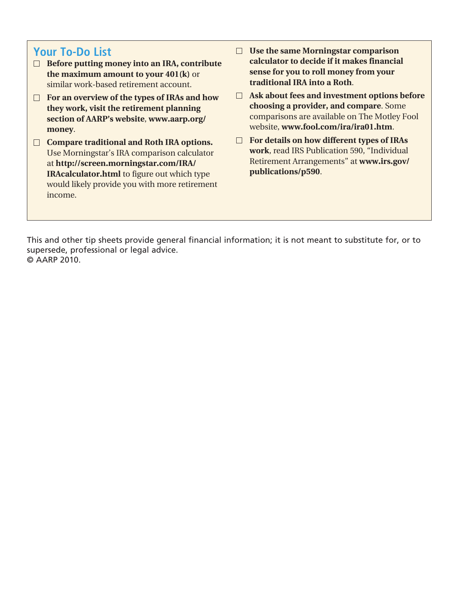#### **Your To-Do List**

- **Before putting money into an IRA, contribute the maximum amount to your 401(k)** or similar work-based retirement account.
- **For an overview of the types of IRAs and how they work, visit the retirement planning section of AARP's website**, **www.aarp.org/ money**.
- **Compare traditional and Roth IRA options.** Use Morningstar's IRA comparison calculator at **http://screen.morningstar.com/IRA/ IRAcalculator.html** to figure out which type would likely provide you with more retirement income.
- **Use the same Morningstar comparison calculator to decide if it makes financial sense for you to roll money from your traditional IRA into a Roth**.
- **Ask about fees and investment options before choosing a provider, and compare**. Some comparisons are available on The Motley Fool website, **www.fool.com/ira/ira01.htm**.
- **For details on how different types of IRAs work**, read IRS Publication 590, "Individual Retirement Arrangements" at **www.irs.gov/ publications/p590**.

This and other tip sheets provide general financial information; it is not meant to substitute for, or to supersede, professional or legal advice. © AARP 2010.